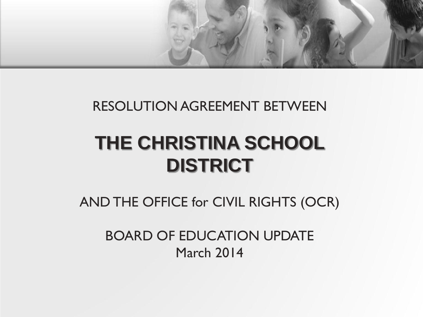

#### RESOLUTION AGREEMENT BETWEEN

# **THE CHRISTINA SCHOOL DISTRICT**

AND THE OFFICE for CIVIL RIGHTS (OCR)

BOARD OF EDUCATION UPDATE March 2014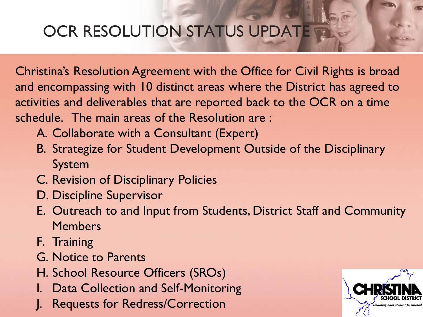# OCR RESOLUTION STATUS UPDATE

Christina's Resolution Agreement with the Office for Civil Rights is broad and encompassing with 10 distinct areas where the District has agreed to activities and deliverables that are reported back to the OCR on a time schedule. The main areas of the Resolution are :

- A. Collaborate with a Consultant (Expert)
- B. Strategize for Student Development Outside of the Disciplinary System
- C. Revision of Disciplinary Policies
- D. Discipline Supervisor
- E. Outreach to and Input from Students, District Staff and Community **Members**
- F. Training
- G. Notice to Parents
- H. School Resource Officers (SROs)
- I. Data Collection and Self-Monitoring
- Requests for Redress/Correction

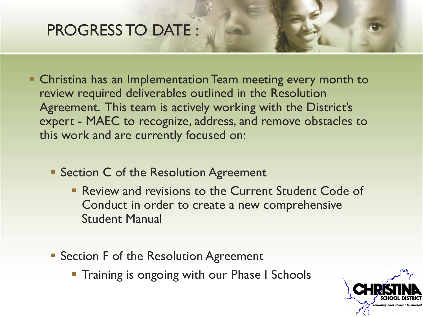### PROGRESS TO DATE :

- Christina has an Implementation Team meeting every month to review required deliverables outlined in the Resolution Agreement. This team is actively working with the District's expert - MAEC to recognize, address, and remove obstacles to this work and are currently focused on:
	- **Section C of the Resolution Agreement** 
		- **Review and revisions to the Current Student Code of** Conduct in order to create a new comprehensive Student Manual
	- **Section F of the Resolution Agreement** 
		- **Training is ongoing with our Phase I Schools**

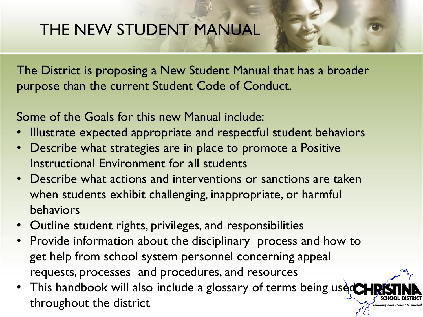The District is proposing a New Student Manual that has a broader purpose than the current Student Code of Conduct.

Some of the Goals for this new Manual include:

- Illustrate expected appropriate and respectful student behaviors
- Describe what strategies are in place to promote a Positive Instructional Environment for all students
- Describe what actions and interventions or sanctions are taken when students exhibit challenging, inappropriate, or harmful behaviors
- Outline student rights, privileges, and responsibilities
- Provide information about the disciplinary process and how to get help from school system personnel concerning appeal requests, processes and procedures, and resources
- This handbook will also include a glossary of terms being used throughout the district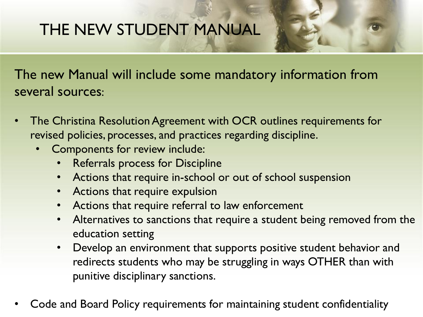The new Manual will include some mandatory information from several sources:

- The Christina Resolution Agreement with OCR outlines requirements for revised policies, processes, and practices regarding discipline.
	- Components for review include:
		- Referrals process for Discipline
		- Actions that require in-school or out of school suspension
		- Actions that require expulsion
		- Actions that require referral to law enforcement
		- Alternatives to sanctions that require a student being removed from the education setting
		- Develop an environment that supports positive student behavior and redirects students who may be struggling in ways OTHER than with punitive disciplinary sanctions.
- Code and Board Policy requirements for maintaining student confidentiality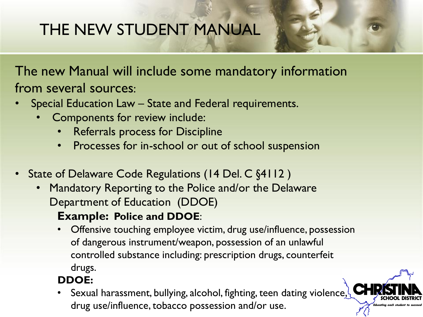The new Manual will include some mandatory information from several sources:

- Special Education Law State and Federal requirements.
	- Components for review include:
		- Referrals process for Discipline
		- Processes for in-school or out of school suspension
- State of Delaware Code Regulations (14 Del. C §4112)
	- Mandatory Reporting to the Police and/or the Delaware Department of Education (DDOE)

#### **Example: Police and DDOE**:

• Offensive touching employee victim, drug use/influence, possession of dangerous instrument/weapon, possession of an unlawful controlled substance including: prescription drugs, counterfeit drugs.

#### **DDOE:**

Sexual harassment, bullying, alcohol, fighting, teen dating violence, drug use/influence, tobacco possession and/or use.

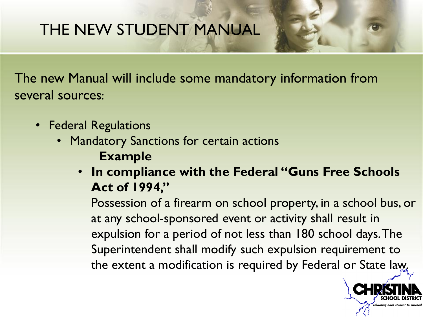The new Manual will include some mandatory information from several sources:

- Federal Regulations
	- Mandatory Sanctions for certain actions **Example**
		- **In compliance with the Federal "Guns Free Schools Act of 1994,"**

Possession of a firearm on school property, in a school bus, or at any school-sponsored event or activity shall result in expulsion for a period of not less than 180 school days. The Superintendent shall modify such expulsion requirement to the extent a modification is required by Federal or State law.

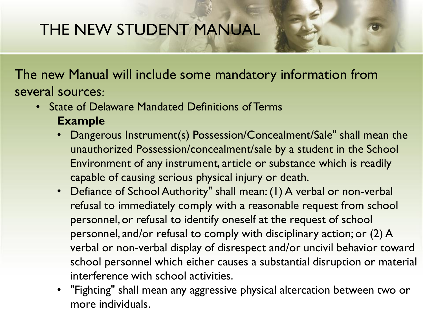The new Manual will include some mandatory information from several sources:

- State of Delaware Mandated Definitions of Terms **Example**
	- Dangerous Instrument(s) Possession/Concealment/Sale" shall mean the unauthorized Possession/concealment/sale by a student in the School Environment of any instrument, article or substance which is readily capable of causing serious physical injury or death.
	- Defiance of School Authority" shall mean: (1) A verbal or non-verbal refusal to immediately comply with a reasonable request from school personnel, or refusal to identify oneself at the request of school personnel, and/or refusal to comply with disciplinary action; or (2) A verbal or non-verbal display of disrespect and/or uncivil behavior toward school personnel which either causes a substantial disruption or material interference with school activities.
	- "Fighting" shall mean any aggressive physical altercation between two or more individuals.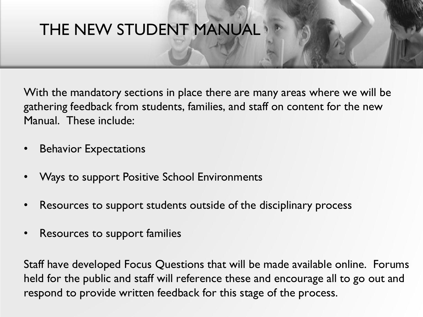With the mandatory sections in place there are many areas where we will be gathering feedback from students, families, and staff on content for the new Manual. These include:

- Behavior Expectations
- Ways to support Positive School Environments
- Resources to support students outside of the disciplinary process
- Resources to support families

Staff have developed Focus Questions that will be made available online. Forums held for the public and staff will reference these and encourage all to go out and respond to provide written feedback for this stage of the process.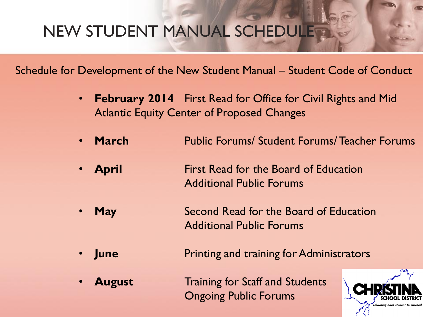# **NEW STUDENT MANUAL SCHEDULES**

Schedule for Development of the New Student Manual – Student Code of Conduct

- **February 2014** First Read for Office for Civil Rights and Mid Atlantic Equity Center of Proposed Changes
- **March Fublic Forums/ Student Forums/ Teacher Forums**
- **April 19. Example 12.5 First Read for the Board of Education** Additional Public Forums
- **May Second Read for the Board of Education** Additional Public Forums
- **June Printing and training for Administrators** 
	- **August Figure 1.5 Training for Staff and Students** Ongoing Public Forums